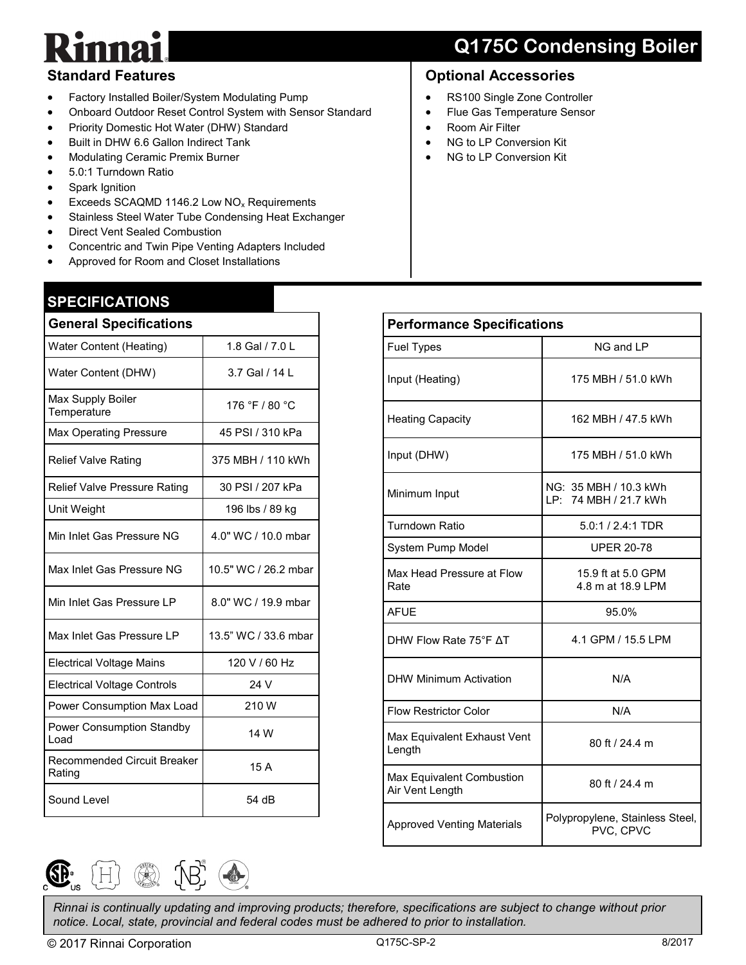## **Q175C Condensing Boiler**

#### **Standard Features**

- Factory Installed Boiler/System Modulating Pump
- Onboard Outdoor Reset Control System with Sensor Standard
- Priority Domestic Hot Water (DHW) Standard
- Built in DHW 6.6 Gallon Indirect Tank
- Modulating Ceramic Premix Burner
- 5.0:1 Turndown Ratio
- Spark Ignition
- Exceeds SCAQMD 1146.2 Low NO<sub>x</sub> Requirements
- **•** Stainless Steel Water Tube Condensing Heat Exchanger
- Direct Vent Sealed Combustion
- Concentric and Twin Pipe Venting Adapters Included
- Approved for Room and Closet Installations

#### **SPECIFICATIONS**

| <b>General Specifications</b>         |                      |  |  |  |
|---------------------------------------|----------------------|--|--|--|
| Water Content (Heating)               | 1.8 Gal / 7.0 L      |  |  |  |
| Water Content (DHW)                   | 3.7 Gal / 14 L       |  |  |  |
| Max Supply Boiler<br>Temperature      | 176 °F / 80 °C       |  |  |  |
| <b>Max Operating Pressure</b>         | 45 PSI / 310 kPa     |  |  |  |
| <b>Relief Valve Rating</b>            | 375 MBH / 110 kWh    |  |  |  |
| Relief Valve Pressure Rating          | 30 PSI / 207 kPa     |  |  |  |
| Unit Weight                           | 196 lbs / 89 kg      |  |  |  |
| Min Inlet Gas Pressure NG             | 4.0" WC / 10.0 mbar  |  |  |  |
| Max Inlet Gas Pressure NG             | 10.5" WC / 26.2 mbar |  |  |  |
| Min Inlet Gas Pressure I P            | 8.0" WC / 19.9 mbar  |  |  |  |
| Max Inlet Gas Pressure LP             | 13.5" WC / 33.6 mbar |  |  |  |
| <b>Electrical Voltage Mains</b>       | 120 V / 60 Hz        |  |  |  |
| <b>Electrical Voltage Controls</b>    | 24 V                 |  |  |  |
| Power Consumption Max Load            | 210W                 |  |  |  |
| Power Consumption Standby<br>Load     | 14 W                 |  |  |  |
| Recommended Circuit Breaker<br>Rating | 15 A                 |  |  |  |
| Sound Level                           | 54 dB                |  |  |  |

#### **Optional Accessories**

- RS100 Single Zone Controller
- Flue Gas Temperature Sensor
- Room Air Filter
- NG to LP Conversion Kit
- NG to LP Conversion Kit

| <b>Performance Specifications</b>            |                                                |  |  |  |
|----------------------------------------------|------------------------------------------------|--|--|--|
| <b>Fuel Types</b>                            | NG and LP                                      |  |  |  |
| Input (Heating)                              | 175 MBH / 51.0 kWh                             |  |  |  |
| <b>Heating Capacity</b>                      | 162 MBH / 47.5 kWh                             |  |  |  |
| Input (DHW)                                  | 175 MBH / 51.0 kWh                             |  |  |  |
| Minimum Input                                | NG: 35 MBH / 10.3 kWh<br>LP: 74 MBH / 21.7 kWh |  |  |  |
| <b>Turndown Ratio</b>                        | $5.0:1 / 2.4:1$ TDR                            |  |  |  |
| System Pump Model                            | <b>UPER 20-78</b>                              |  |  |  |
| Max Head Pressure at Flow<br>Rate            | 15.9 ft at 5.0 GPM<br>4.8 m at 18.9 LPM        |  |  |  |
| <b>AFUE</b>                                  | 95.0%                                          |  |  |  |
| DHW Flow Rate 75°F AT                        | 4.1 GPM / 15.5 LPM                             |  |  |  |
| <b>DHW Minimum Activation</b>                | N/A                                            |  |  |  |
| <b>Flow Restrictor Color</b>                 | N/A                                            |  |  |  |
| Max Equivalent Exhaust Vent<br>Length        | 80 ft / 24.4 m                                 |  |  |  |
| Max Equivalent Combustion<br>Air Vent Length | 80 ft / 24.4 m                                 |  |  |  |
| <b>Approved Venting Materials</b>            | Polypropylene, Stainless Steel,<br>PVC, CPVC   |  |  |  |



*Rinnai is continually updating and improving products; therefore, specifications are subject to change without prior notice. Local, state, provincial and federal codes must be adhered to prior to installation.*